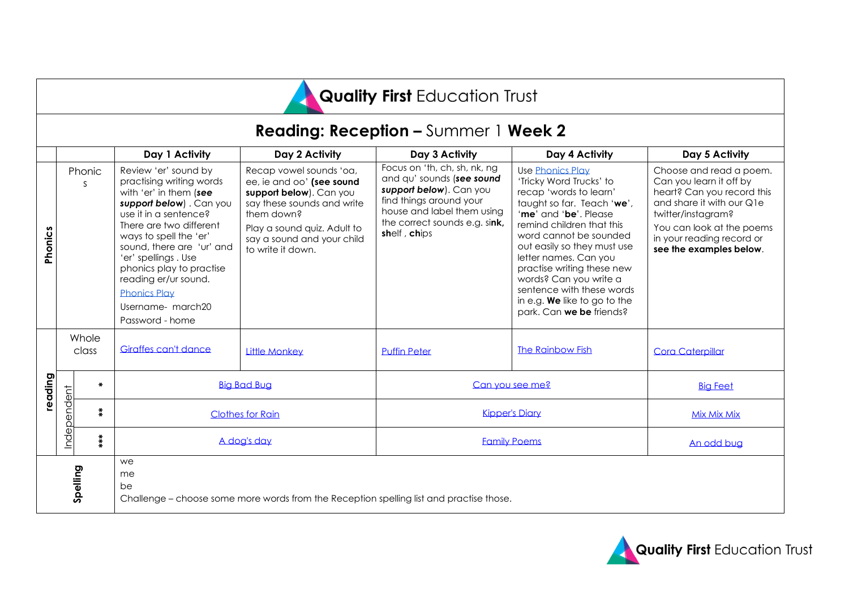| <b>Quality First Education Trust</b>        |                |                |                |  |  |  |  |  |  |
|---------------------------------------------|----------------|----------------|----------------|--|--|--|--|--|--|
| <b>Reading: Reception - Summer 1 Week 2</b> |                |                |                |  |  |  |  |  |  |
| tivity                                      | Day 2 Activity | Day 3 Activity | Day 4 Activity |  |  |  |  |  |  |
|                                             |                |                |                |  |  |  |  |  |  |

|                                                                                                                       |             |                | Day 1 Activity                                                                                                                                                                                                                                                                                                                                              | Day 2 Activity                                                                                                                                                                                                | Day 3 Activity                                                                                                                                                                                 | Day 4 Activity                                                                                                                                                                                                                                                                                                                                                                               | Day 5 Activity                                                                                                                                                                                                           |
|-----------------------------------------------------------------------------------------------------------------------|-------------|----------------|-------------------------------------------------------------------------------------------------------------------------------------------------------------------------------------------------------------------------------------------------------------------------------------------------------------------------------------------------------------|---------------------------------------------------------------------------------------------------------------------------------------------------------------------------------------------------------------|------------------------------------------------------------------------------------------------------------------------------------------------------------------------------------------------|----------------------------------------------------------------------------------------------------------------------------------------------------------------------------------------------------------------------------------------------------------------------------------------------------------------------------------------------------------------------------------------------|--------------------------------------------------------------------------------------------------------------------------------------------------------------------------------------------------------------------------|
| Phonics                                                                                                               |             | Phonic         | Review 'er' sound by<br>practising writing words<br>with 'er' in them (see<br>support below) . Can you<br>use it in a sentence?<br>There are two different<br>ways to spell the 'er'<br>sound, there are 'ur' and<br>'er' spellings. Use<br>phonics play to practise<br>reading er/ur sound.<br><b>Phonics Play</b><br>Username- march20<br>Password - home | Recap vowel sounds 'oa,<br>ee, ie and oo' (see sound<br>support below). Can you<br>say these sounds and write<br>them down?<br>Play a sound quiz. Adult to<br>say a sound and your child<br>to write it down. | Focus on 'th, ch, sh, nk, ng<br>and qu' sounds (see sound<br>support below). Can you<br>find things around your<br>house and label them using<br>the correct sounds e.g. sink,<br>shelf, chips | Use Phonics Play<br>'Tricky Word Trucks' to<br>recap 'words to learn'<br>taught so far. Teach 'we',<br>'me' and 'be'. Please<br>remind children that this<br>word cannot be sounded<br>out easily so they must use<br>letter names. Can you<br>practise writing these new<br>words? Can you write a<br>sentence with these words<br>in e.g. We like to go to the<br>park. Can we be friends? | Choose and read a poem.<br>Can you learn it off by<br>heart? Can you record this<br>and share it with our Q1e<br>twitter/instagram?<br>You can look at the poems<br>in your reading record or<br>see the examples below. |
| eading                                                                                                                |             | Whole<br>class | Giraffes can't dance                                                                                                                                                                                                                                                                                                                                        | <b>Little Monkey</b>                                                                                                                                                                                          | <b>Puffin Peter</b>                                                                                                                                                                            | <b>The Rainbow Fish</b>                                                                                                                                                                                                                                                                                                                                                                      | <b>Cora Caterpillar</b>                                                                                                                                                                                                  |
|                                                                                                                       |             | $\mathbf{a}$   | <b>Big Bad Bug</b>                                                                                                                                                                                                                                                                                                                                          |                                                                                                                                                                                                               |                                                                                                                                                                                                | Can you see me?                                                                                                                                                                                                                                                                                                                                                                              | <b>Big Feet</b>                                                                                                                                                                                                          |
|                                                                                                                       | Independent | $*$            | <b>Clothes for Rain</b>                                                                                                                                                                                                                                                                                                                                     |                                                                                                                                                                                                               | <b>Kipper's Diary</b>                                                                                                                                                                          |                                                                                                                                                                                                                                                                                                                                                                                              | Mix Mix Mix                                                                                                                                                                                                              |
|                                                                                                                       |             | ***            | A dog's day                                                                                                                                                                                                                                                                                                                                                 |                                                                                                                                                                                                               | <b>Family Poems</b>                                                                                                                                                                            |                                                                                                                                                                                                                                                                                                                                                                                              | An odd bug                                                                                                                                                                                                               |
| we<br>Spelling<br>me<br>be<br>Challenge – choose some more words from the Reception spelling list and practise those. |             |                |                                                                                                                                                                                                                                                                                                                                                             |                                                                                                                                                                                                               |                                                                                                                                                                                                |                                                                                                                                                                                                                                                                                                                                                                                              |                                                                                                                                                                                                                          |

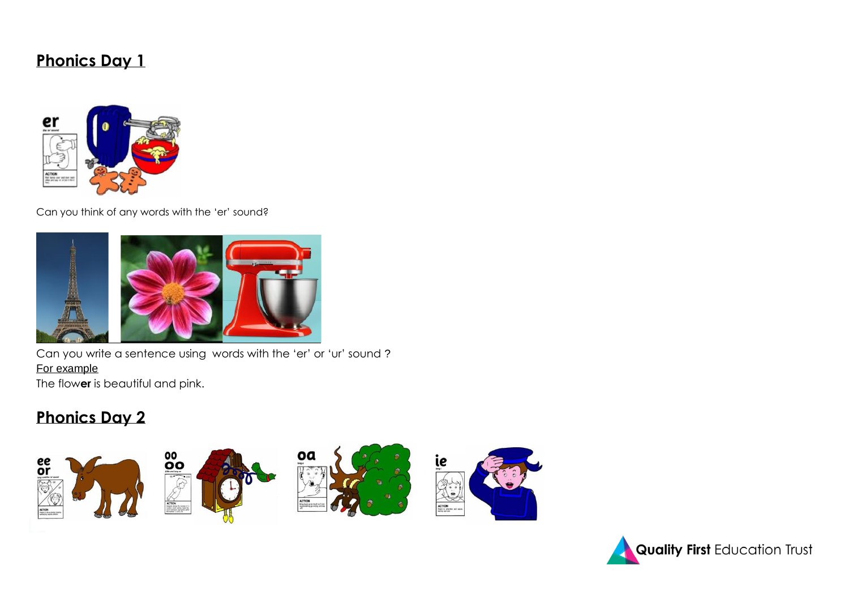## **Phonics Day 1**



Can you think of any words with the 'er' sound?



Can you write a sentence using words with the 'er' or 'ur' sound ? For example The flow**er** is beautiful and pink.

## **Phonics Day 2**



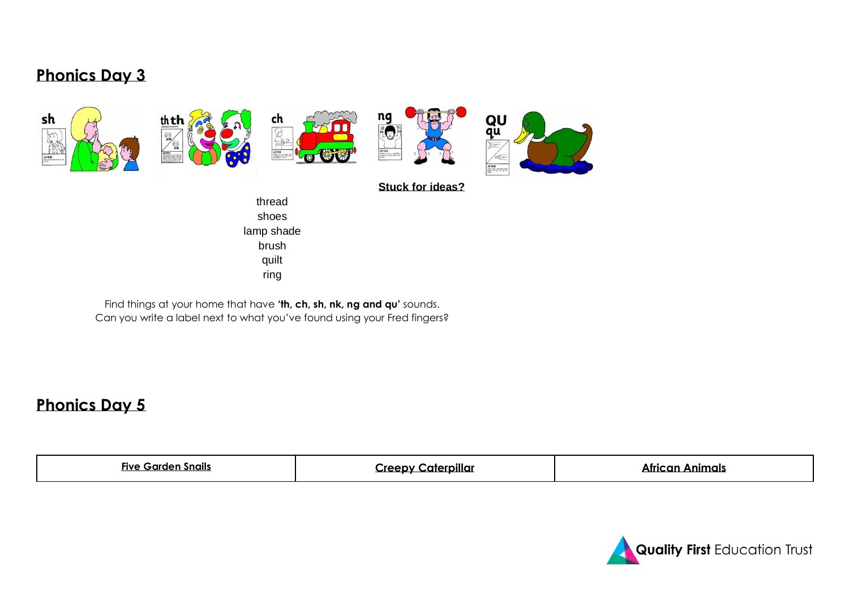## **Phonics Day 3**



Find things at your home that have **'th, ch, sh, nk, ng and qu'** sounds. Can you write a label next to what you've found using your Fred fingers?

## **Phonics Day 5**

| .<br>Five<br>anglis. | <br>Iaterpillar<br>---<br>oν | nimals) |
|----------------------|------------------------------|---------|